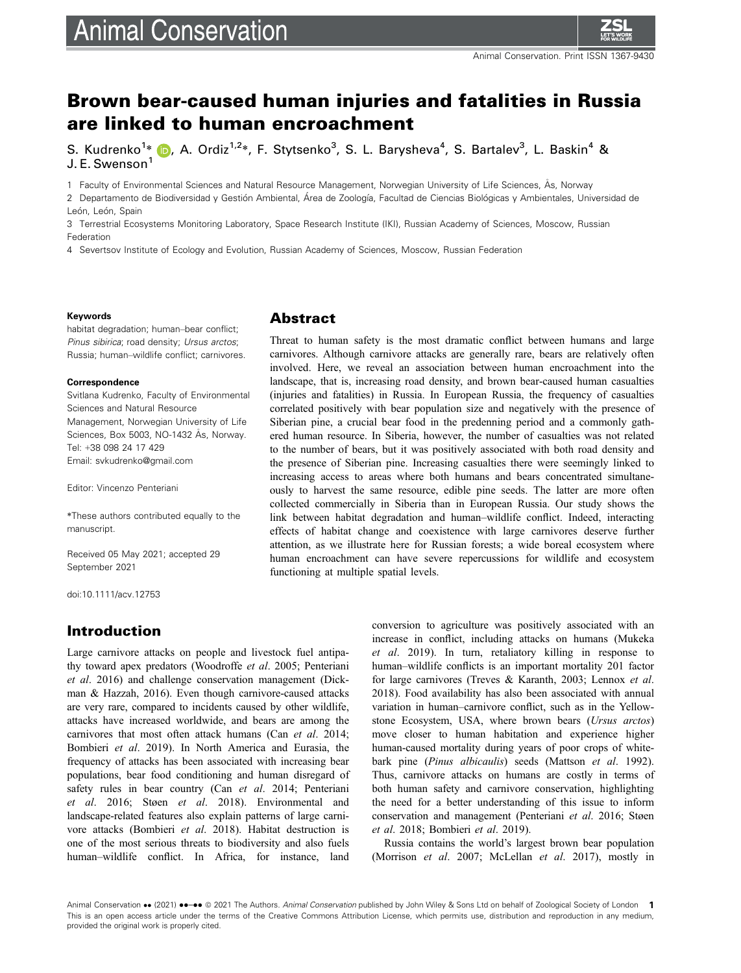# **Animal Conservation**



# Brown bear-caused human injuries and fatalities in Russia are linked to human encroachment

S. Kudrenko<sup>1</sup>[\\*](https://orcid.org/0000-0001-9532-4873) (D, A. Ordiz<sup>1,2</sup>\*, F. Stytsenko<sup>3</sup>, S. L. Barysheva<sup>4</sup>, S. Bartalev<sup>3</sup>, L. Baskin<sup>4</sup> & J. E. Swenson<sup>1</sup>

1 Faculty of Environmental Sciences and Natural Resource Management, Norwegian University of Life Sciences, As, Norway

2 Departamento de Biodiversidad y Gestión Ambiental, Área de Zoología, Facultad de Ciencias Biológicas y Ambientales, Universidad de León, León, Spain

3 Terrestrial Ecosystems Monitoring Laboratory, Space Research Institute (IKI), Russian Academy of Sciences, Moscow, Russian Federation

4 Severtsov Institute of Ecology and Evolution, Russian Academy of Sciences, Moscow, Russian Federation

#### Keywords

habitat degradation; human–bear conflict; Pinus sibirica; road density; Ursus arctos; Russia; human–wildlife conflict; carnivores.

#### **Correspondence**

Svitlana Kudrenko, Faculty of Environmental Sciences and Natural Resource Management, Norwegian University of Life Sciences, Box 5003, NO-1432 Ås, Norway. Tel: +38 098 24 17 429 Email: [svkudrenko@gmail.com](mailto:)

Editor: Vincenzo Penteriani

\*These authors contributed equally to the manuscript.

Received 05 May 2021; accepted 29 September 2021

doi:10.1111/acv.12753

## Introduction

Large carnivore attacks on people and livestock fuel antipathy toward apex predators (Woodroffe et al. 2005; Penteriani et al. 2016) and challenge conservation management (Dickman & Hazzah, 2016). Even though carnivore-caused attacks are very rare, compared to incidents caused by other wildlife, attacks have increased worldwide, and bears are among the carnivores that most often attack humans (Can et al. 2014; Bombieri et al. 2019). In North America and Eurasia, the frequency of attacks has been associated with increasing bear populations, bear food conditioning and human disregard of safety rules in bear country (Can et al. 2014; Penteriani et al. 2016; Støen et al. 2018). Environmental and landscape-related features also explain patterns of large carnivore attacks (Bombieri et al. 2018). Habitat destruction is one of the most serious threats to biodiversity and also fuels human–wildlife conflict. In Africa, for instance, land

### Abstract

Threat to human safety is the most dramatic conflict between humans and large carnivores. Although carnivore attacks are generally rare, bears are relatively often involved. Here, we reveal an association between human encroachment into the landscape, that is, increasing road density, and brown bear-caused human casualties (injuries and fatalities) in Russia. In European Russia, the frequency of casualties correlated positively with bear population size and negatively with the presence of Siberian pine, a crucial bear food in the predenning period and a commonly gathered human resource. In Siberia, however, the number of casualties was not related to the number of bears, but it was positively associated with both road density and the presence of Siberian pine. Increasing casualties there were seemingly linked to increasing access to areas where both humans and bears concentrated simultaneously to harvest the same resource, edible pine seeds. The latter are more often collected commercially in Siberia than in European Russia. Our study shows the link between habitat degradation and human–wildlife conflict. Indeed, interacting effects of habitat change and coexistence with large carnivores deserve further attention, as we illustrate here for Russian forests; a wide boreal ecosystem where human encroachment can have severe repercussions for wildlife and ecosystem functioning at multiple spatial levels.

> conversion to agriculture was positively associated with an increase in conflict, including attacks on humans (Mukeka et al. 2019). In turn, retaliatory killing in response to human–wildlife conflicts is an important mortality 201 factor for large carnivores (Treves & Karanth, 2003; Lennox et al. 2018). Food availability has also been associated with annual variation in human–carnivore conflict, such as in the Yellowstone Ecosystem, USA, where brown bears (Ursus arctos) move closer to human habitation and experience higher human-caused mortality during years of poor crops of whitebark pine (Pinus albicaulis) seeds (Mattson et al. 1992). Thus, carnivore attacks on humans are costly in terms of both human safety and carnivore conservation, highlighting the need for a better understanding of this issue to inform conservation and management (Penteriani et al. 2016; Støen et al. 2018; Bombieri et al. 2019).

> Russia contains the world's largest brown bear population (Morrison et al. 2007; McLellan et al. 2017), mostly in

Animal Conservation •• (2021) ••-•• © 2021 The Authors. Animal Conservation published by John Wiley & Sons Ltd on behalf of Zoological Society of London 1 This is an open access article under the terms of the [Creative Commons Attribution](http://creativecommons.org/licenses/by/4.0/) License, which permits use, distribution and reproduction in any medium, provided the original work is properly cited.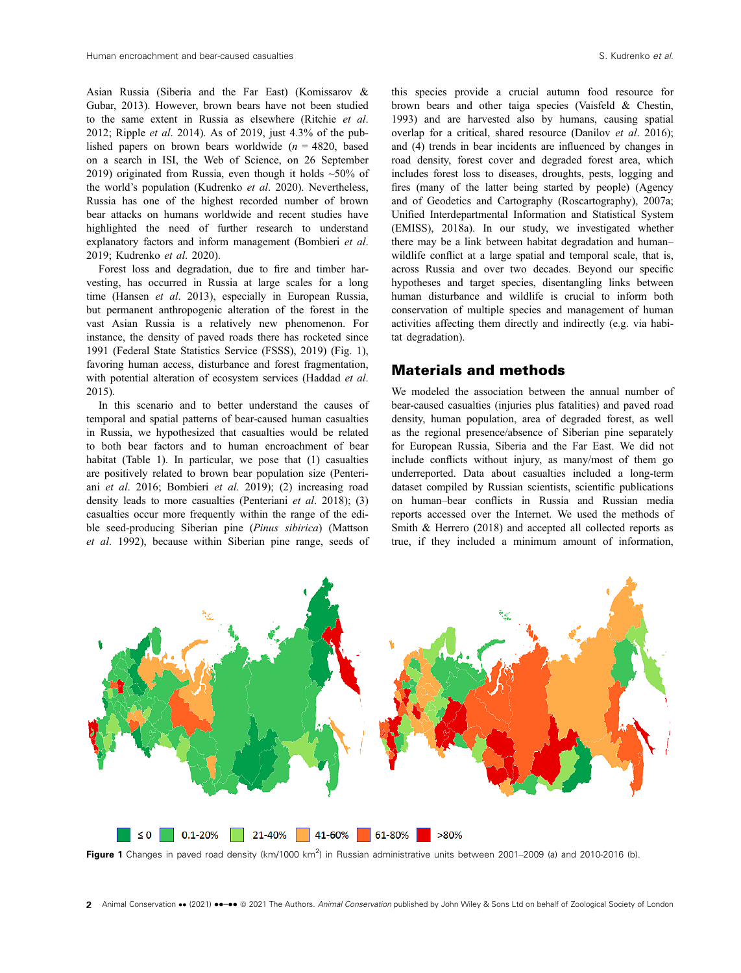Asian Russia (Siberia and the Far East) (Komissarov & Gubar, 2013). However, brown bears have not been studied to the same extent in Russia as elsewhere (Ritchie et al. 2012; Ripple *et al.* 2014). As of 2019, just  $4.3\%$  of the published papers on brown bears worldwide  $(n = 4820,$  based on a search in ISI, the Web of Science, on 26 September 2019) originated from Russia, even though it holds  $~50\%$  of the world's population (Kudrenko et al. 2020). Nevertheless, Russia has one of the highest recorded number of brown bear attacks on humans worldwide and recent studies have highlighted the need of further research to understand explanatory factors and inform management (Bombieri et al. 2019; Kudrenko et al. 2020).

Forest loss and degradation, due to fire and timber harvesting, has occurred in Russia at large scales for a long time (Hansen et al. 2013), especially in European Russia, but permanent anthropogenic alteration of the forest in the vast Asian Russia is a relatively new phenomenon. For instance, the density of paved roads there has rocketed since 1991 (Federal State Statistics Service (FSSS), 2019) (Fig. 1), favoring human access, disturbance and forest fragmentation, with potential alteration of ecosystem services (Haddad et al. 2015).

In this scenario and to better understand the causes of temporal and spatial patterns of bear-caused human casualties in Russia, we hypothesized that casualties would be related to both bear factors and to human encroachment of bear habitat (Table 1). In particular, we pose that (1) casualties are positively related to brown bear population size (Penteriani et al. 2016; Bombieri et al. 2019); (2) increasing road density leads to more casualties (Penteriani et al. 2018); (3) casualties occur more frequently within the range of the edible seed-producing Siberian pine (Pinus sibirica) (Mattson et al. 1992), because within Siberian pine range, seeds of this species provide a crucial autumn food resource for brown bears and other taiga species (Vaisfeld & Chestin, 1993) and are harvested also by humans, causing spatial overlap for a critical, shared resource (Danilov et al. 2016); and (4) trends in bear incidents are influenced by changes in road density, forest cover and degraded forest area, which includes forest loss to diseases, droughts, pests, logging and fires (many of the latter being started by people) (Agency and of Geodetics and Cartography (Roscartography), 2007a; Unified Interdepartmental Information and Statistical System (EMISS), 2018a). In our study, we investigated whether there may be a link between habitat degradation and human– wildlife conflict at a large spatial and temporal scale, that is, across Russia and over two decades. Beyond our specific hypotheses and target species, disentangling links between human disturbance and wildlife is crucial to inform both conservation of multiple species and management of human activities affecting them directly and indirectly (e.g. via habitat degradation).

#### Materials and methods

We modeled the association between the annual number of bear-caused casualties (injuries plus fatalities) and paved road density, human population, area of degraded forest, as well as the regional presence/absence of Siberian pine separately for European Russia, Siberia and the Far East. We did not include conflicts without injury, as many/most of them go underreported. Data about casualties included a long-term dataset compiled by Russian scientists, scientific publications on human–bear conflicts in Russia and Russian media reports accessed over the Internet. We used the methods of Smith & Herrero (2018) and accepted all collected reports as true, if they included a minimum amount of information,



Figure 1 Changes in paved road density (km/1000 km<sup>2</sup>) in Russian administrative units between 2001–2009 (a) and 2010-2016 (b).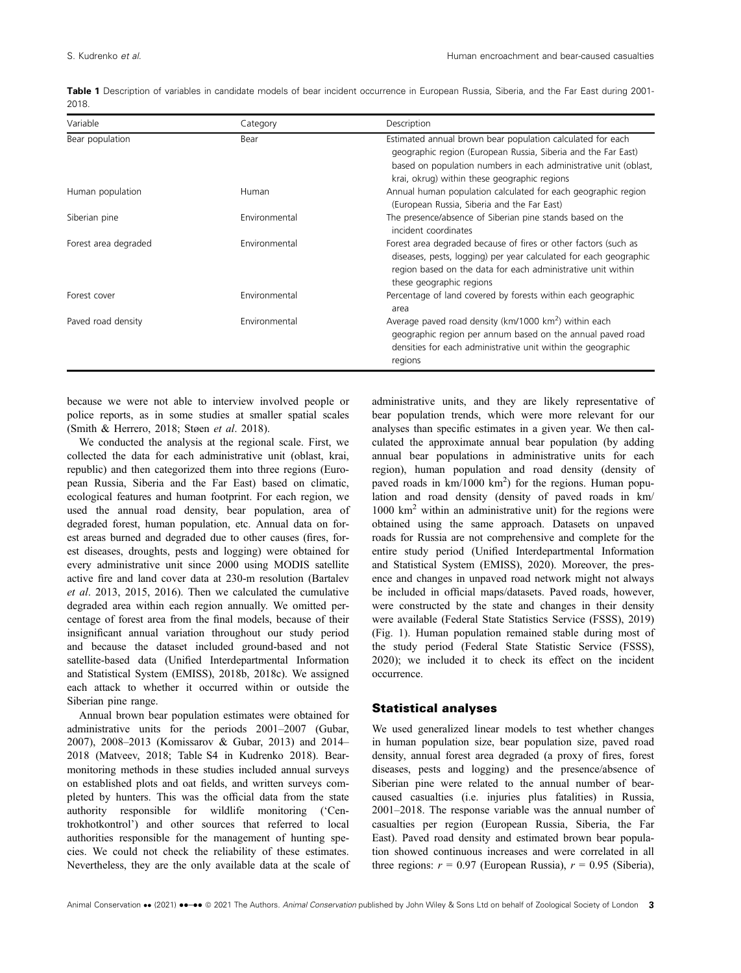|      | <b>Table 1</b> Description of variables in candidate models of bear incident occurrence in European Russia, Siberia, and the Far East during 2001- |  |  |  |  |  |  |  |
|------|----------------------------------------------------------------------------------------------------------------------------------------------------|--|--|--|--|--|--|--|
| 2018 |                                                                                                                                                    |  |  |  |  |  |  |  |

| Variable             | Category      | Description                                                                                                                                                                                                                                     |
|----------------------|---------------|-------------------------------------------------------------------------------------------------------------------------------------------------------------------------------------------------------------------------------------------------|
| Bear population      | Bear          | Estimated annual brown bear population calculated for each<br>geographic region (European Russia, Siberia and the Far East)<br>based on population numbers in each administrative unit (oblast,<br>krai, okrug) within these geographic regions |
| Human population     | Human         | Annual human population calculated for each geographic region<br>(European Russia, Siberia and the Far East)                                                                                                                                    |
| Siberian pine        | Environmental | The presence/absence of Siberian pine stands based on the<br>incident coordinates                                                                                                                                                               |
| Forest area degraded | Environmental | Forest area degraded because of fires or other factors (such as<br>diseases, pests, logging) per year calculated for each geographic<br>region based on the data for each administrative unit within<br>these geographic regions                |
| Forest cover         | Environmental | Percentage of land covered by forests within each geographic<br>area                                                                                                                                                                            |
| Paved road density   | Environmental | Average paved road density (km/1000 km <sup>2</sup> ) within each<br>geographic region per annum based on the annual paved road<br>densities for each administrative unit within the geographic<br>regions                                      |

because we were not able to interview involved people or police reports, as in some studies at smaller spatial scales (Smith & Herrero, 2018; Støen et al. 2018).

We conducted the analysis at the regional scale. First, we collected the data for each administrative unit (oblast, krai, republic) and then categorized them into three regions (European Russia, Siberia and the Far East) based on climatic, ecological features and human footprint. For each region, we used the annual road density, bear population, area of degraded forest, human population, etc. Annual data on forest areas burned and degraded due to other causes (fires, forest diseases, droughts, pests and logging) were obtained for every administrative unit since 2000 using MODIS satellite active fire and land cover data at 230-m resolution (Bartalev et al. 2013, 2015, 2016). Then we calculated the cumulative degraded area within each region annually. We omitted percentage of forest area from the final models, because of their insignificant annual variation throughout our study period and because the dataset included ground-based and not satellite-based data (Unified Interdepartmental Information and Statistical System (EMISS), 2018b, 2018c). We assigned each attack to whether it occurred within or outside the Siberian pine range.

Annual brown bear population estimates were obtained for administrative units for the periods 2001–2007 (Gubar, 2007), 2008–2013 (Komissarov & Gubar, 2013) and 2014– 2018 (Matveev, 2018; Table S4 in Kudrenko 2018). Bearmonitoring methods in these studies included annual surveys on established plots and oat fields, and written surveys completed by hunters. This was the official data from the state authority responsible for wildlife monitoring ('Centrokhotkontrol') and other sources that referred to local authorities responsible for the management of hunting species. We could not check the reliability of these estimates. Nevertheless, they are the only available data at the scale of

administrative units, and they are likely representative of bear population trends, which were more relevant for our analyses than specific estimates in a given year. We then calculated the approximate annual bear population (by adding annual bear populations in administrative units for each region), human population and road density (density of paved roads in  $km/1000 km<sup>2</sup>$ ) for the regions. Human population and road density (density of paved roads in km/  $1000 \text{ km}^2$  within an administrative unit) for the regions were obtained using the same approach. Datasets on unpaved roads for Russia are not comprehensive and complete for the entire study period (Unified Interdepartmental Information and Statistical System (EMISS), 2020). Moreover, the presence and changes in unpaved road network might not always be included in official maps/datasets. Paved roads, however, were constructed by the state and changes in their density were available (Federal State Statistics Service (FSSS), 2019) (Fig. 1). Human population remained stable during most of the study period (Federal State Statistic Service (FSSS), 2020); we included it to check its effect on the incident occurrence.

#### Statistical analyses

We used generalized linear models to test whether changes in human population size, bear population size, paved road density, annual forest area degraded (a proxy of fires, forest diseases, pests and logging) and the presence/absence of Siberian pine were related to the annual number of bearcaused casualties (i.e. injuries plus fatalities) in Russia, 2001–2018. The response variable was the annual number of casualties per region (European Russia, Siberia, the Far East). Paved road density and estimated brown bear population showed continuous increases and were correlated in all three regions:  $r = 0.97$  (European Russia),  $r = 0.95$  (Siberia),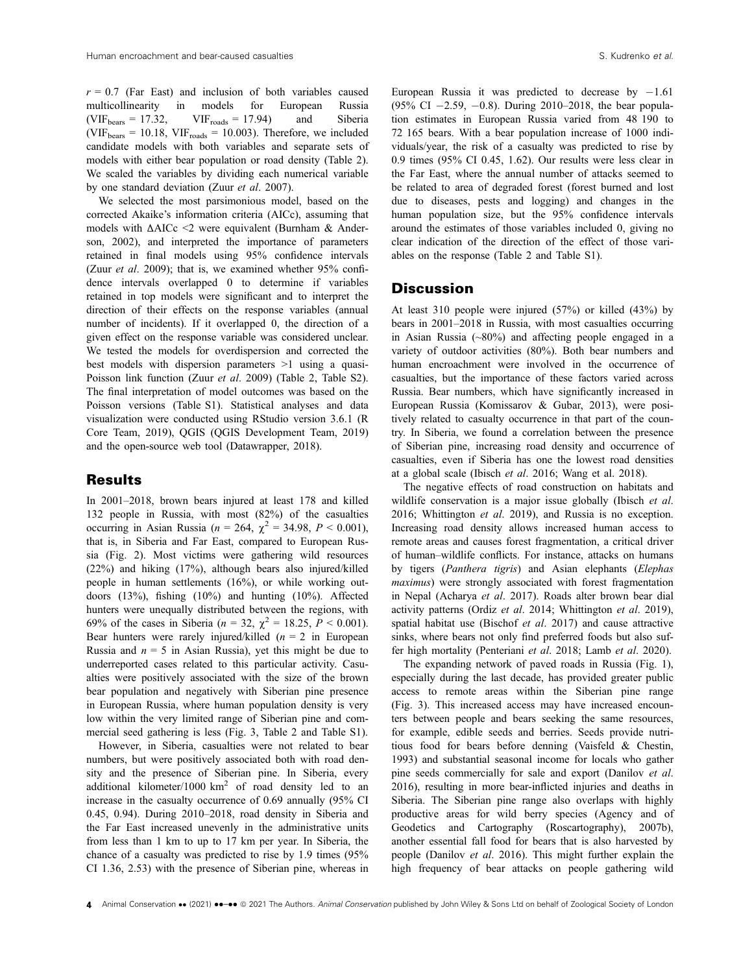$r = 0.7$  (Far East) and inclusion of both variables caused multicollinearity in models for European Russia  $(VIF_{bears} = 17.32, VIF_{roads} = 17.94)$  and Siberia (VIF<sub>bears</sub> = 10.18, VIF<sub>roads</sub> = 10.003). Therefore, we included candidate models with both variables and separate sets of models with either bear population or road density (Table 2). We scaled the variables by dividing each numerical variable by one standard deviation (Zuur et al. 2007).

We selected the most parsimonious model, based on the corrected Akaike's information criteria (AICc), assuming that models with ΔAICc <2 were equivalent (Burnham & Anderson, 2002), and interpreted the importance of parameters retained in final models using 95% confidence intervals (Zuur et al. 2009); that is, we examined whether 95% confidence intervals overlapped 0 to determine if variables retained in top models were significant and to interpret the direction of their effects on the response variables (annual number of incidents). If it overlapped 0, the direction of a given effect on the response variable was considered unclear. We tested the models for overdispersion and corrected the best models with dispersion parameters >1 using a quasi-Poisson link function (Zuur et al. 2009) (Table 2, Table S2). The final interpretation of model outcomes was based on the Poisson versions (Table S1). Statistical analyses and data visualization were conducted using RStudio version 3.6.1 (R Core Team, 2019), QGIS (QGIS Development Team, 2019) and the open-source web tool (Datawrapper, 2018).

#### Results

In 2001–2018, brown bears injured at least 178 and killed 132 people in Russia, with most (82%) of the casualties occurring in Asian Russia ( $n = 264$ ,  $\chi^2 = 34.98$ ,  $P < 0.001$ ), that is, in Siberia and Far East, compared to European Russia (Fig. 2). Most victims were gathering wild resources (22%) and hiking (17%), although bears also injured/killed people in human settlements (16%), or while working outdoors (13%), fishing (10%) and hunting (10%). Affected hunters were unequally distributed between the regions, with 69% of the cases in Siberia ( $n = 32$ ,  $\chi^2 = 18.25$ ,  $P < 0.001$ ). Bear hunters were rarely injured/killed  $(n = 2$  in European Russia and  $n = 5$  in Asian Russia), yet this might be due to underreported cases related to this particular activity. Casualties were positively associated with the size of the brown bear population and negatively with Siberian pine presence in European Russia, where human population density is very low within the very limited range of Siberian pine and commercial seed gathering is less (Fig. 3, Table 2 and Table S1).

However, in Siberia, casualties were not related to bear numbers, but were positively associated both with road density and the presence of Siberian pine. In Siberia, every additional kilometer/1000  $km^2$  of road density led to an increase in the casualty occurrence of 0.69 annually (95% CI 0.45, 0.94). During 2010–2018, road density in Siberia and the Far East increased unevenly in the administrative units from less than 1 km to up to 17 km per year. In Siberia, the chance of a casualty was predicted to rise by 1.9 times (95% CI 1.36, 2.53) with the presence of Siberian pine, whereas in European Russia it was predicted to decrease by  $-1.61$ (95% CI  $-2.59$ ,  $-0.8$ ). During 2010–2018, the bear population estimates in European Russia varied from 48 190 to 72 165 bears. With a bear population increase of 1000 individuals/year, the risk of a casualty was predicted to rise by 0.9 times (95% CI 0.45, 1.62). Our results were less clear in the Far East, where the annual number of attacks seemed to be related to area of degraded forest (forest burned and lost due to diseases, pests and logging) and changes in the human population size, but the 95% confidence intervals around the estimates of those variables included 0, giving no clear indication of the direction of the effect of those variables on the response (Table 2 and Table S1).

#### **Discussion**

At least 310 people were injured (57%) or killed (43%) by bears in 2001–2018 in Russia, with most casualties occurring in Asian Russia (~80%) and affecting people engaged in a variety of outdoor activities (80%). Both bear numbers and human encroachment were involved in the occurrence of casualties, but the importance of these factors varied across Russia. Bear numbers, which have significantly increased in European Russia (Komissarov & Gubar, 2013), were positively related to casualty occurrence in that part of the country. In Siberia, we found a correlation between the presence of Siberian pine, increasing road density and occurrence of casualties, even if Siberia has one the lowest road densities at a global scale (Ibisch et al. 2016; Wang et al. 2018).

The negative effects of road construction on habitats and wildlife conservation is a major issue globally (Ibisch et al. 2016; Whittington et al. 2019), and Russia is no exception. Increasing road density allows increased human access to remote areas and causes forest fragmentation, a critical driver of human–wildlife conflicts. For instance, attacks on humans by tigers (Panthera tigris) and Asian elephants (Elephas maximus) were strongly associated with forest fragmentation in Nepal (Acharya et al. 2017). Roads alter brown bear dial activity patterns (Ordiz et al. 2014; Whittington et al. 2019), spatial habitat use (Bischof et al. 2017) and cause attractive sinks, where bears not only find preferred foods but also suffer high mortality (Penteriani et al. 2018; Lamb et al. 2020).

The expanding network of paved roads in Russia (Fig. 1), especially during the last decade, has provided greater public access to remote areas within the Siberian pine range (Fig. 3). This increased access may have increased encounters between people and bears seeking the same resources, for example, edible seeds and berries. Seeds provide nutritious food for bears before denning (Vaisfeld & Chestin, 1993) and substantial seasonal income for locals who gather pine seeds commercially for sale and export (Danilov et al. 2016), resulting in more bear-inflicted injuries and deaths in Siberia. The Siberian pine range also overlaps with highly productive areas for wild berry species (Agency and of Geodetics and Cartography (Roscartography), 2007b), another essential fall food for bears that is also harvested by people (Danilov et al. 2016). This might further explain the high frequency of bear attacks on people gathering wild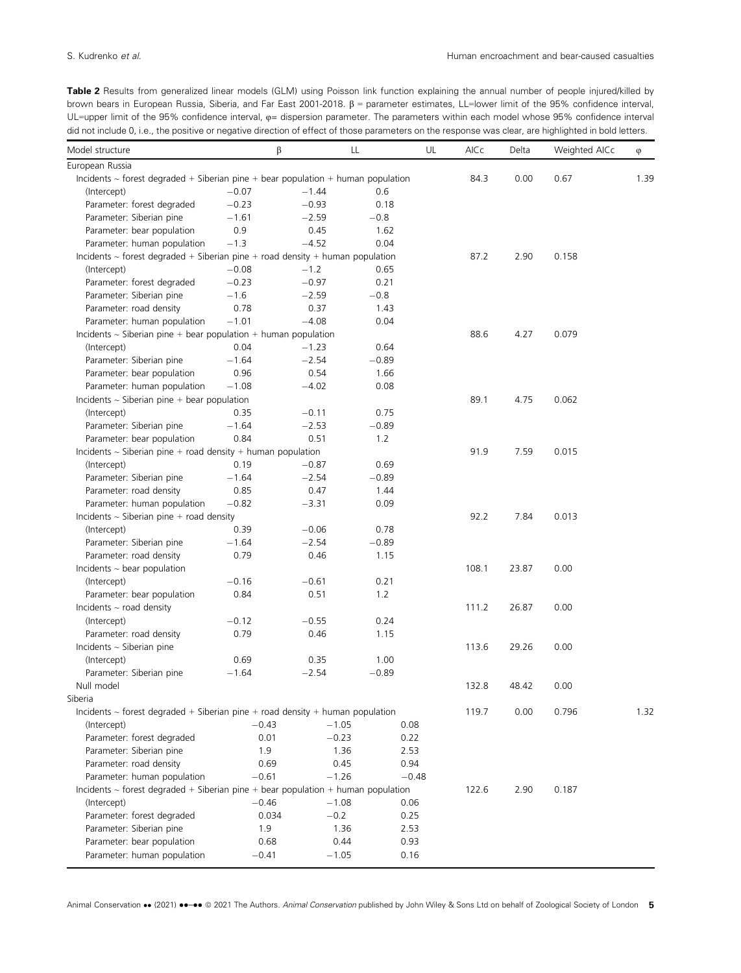Table 2 Results from generalized linear models (GLM) using Poisson link function explaining the annual number of people injured/killed by brown bears in European Russia, Siberia, and Far East 2001-2018.  $\beta$  = parameter estimates, LL=lower limit of the 95% confidence interval, UL=upper limit of the 95% confidence interval,  $\varphi$ = dispersion parameter. The parameters within each model whose 95% confidence interval did not include 0, i.e., the positive or negative direction of effect of those parameters on the response was clear, are highlighted in bold letters.

| Model structure                                                                       | β                |                   | LL           | UL | AICc  | Delta | Weighted AICc | $\varphi$ |
|---------------------------------------------------------------------------------------|------------------|-------------------|--------------|----|-------|-------|---------------|-----------|
| European Russia                                                                       |                  |                   |              |    |       |       |               |           |
| Incidents $\sim$ forest degraded + Siberian pine + bear population + human population |                  |                   |              |    | 84.3  | 0.00  | 0.67          | 1.39      |
| (Intercept)                                                                           | $-0.07$          | $-1.44$           | 0.6          |    |       |       |               |           |
| Parameter: forest degraded                                                            | $-0.23$          | $-0.93$           | 0.18         |    |       |       |               |           |
| Parameter: Siberian pine                                                              | $-1.61$          | $-2.59$           | $-0.8$       |    |       |       |               |           |
| Parameter: bear population                                                            | 0.9              | 0.45              | 1.62         |    |       |       |               |           |
| Parameter: human population                                                           | $-1.3$           | $-4.52$           | 0.04         |    |       |       |               |           |
| Incidents $\sim$ forest degraded + Siberian pine + road density + human population    | 87.2             | 2.90              | 0.158        |    |       |       |               |           |
| (Intercept)                                                                           | $-0.08$          | $-1.2$            | 0.65         |    |       |       |               |           |
| Parameter: forest degraded                                                            | $-0.23$          | $-0.97$           | 0.21         |    |       |       |               |           |
| Parameter: Siberian pine                                                              | $-1.6$           | $-2.59$           | $-0.8$       |    |       |       |               |           |
| Parameter: road density                                                               | 0.78             | 0.37              | 1.43         |    |       |       |               |           |
| Parameter: human population                                                           | $-1.01$          | $-4.08$           | 0.04         |    |       |       |               |           |
| Incidents $\sim$ Siberian pine + bear population + human population                   |                  |                   |              |    | 88.6  | 4.27  | 0.079         |           |
| (Intercept)                                                                           | 0.04             | $-1.23$           | 0.64         |    |       |       |               |           |
| Parameter: Siberian pine                                                              | $-1.64$          | $-2.54$           | $-0.89$      |    |       |       |               |           |
| Parameter: bear population                                                            | 0.96             | 0.54              | 1.66         |    |       |       |               |           |
| Parameter: human population                                                           | $-1.08$          | $-4.02$           | 0.08         |    |       |       |               |           |
| Incidents $\sim$ Siberian pine + bear population                                      |                  |                   |              |    | 89.1  | 4.75  | 0.062         |           |
| (Intercept)                                                                           | 0.35             | $-0.11$           | 0.75         |    |       |       |               |           |
| Parameter: Siberian pine                                                              | $-1.64$          | $-2.53$           | $-0.89$      |    |       |       |               |           |
| Parameter: bear population                                                            | 0.84             | 0.51              | 1.2          |    |       |       |               |           |
| Incidents $\sim$ Siberian pine + road density + human population                      |                  |                   |              |    | 91.9  | 7.59  | 0.015         |           |
| (Intercept)                                                                           | 0.19             | $-0.87$           | 0.69         |    |       |       |               |           |
| Parameter: Siberian pine                                                              | $-1.64$          | $-2.54$           | $-0.89$      |    |       |       |               |           |
| Parameter: road density                                                               | 0.85             | 0.47              | 1.44         |    |       |       |               |           |
| Parameter: human population                                                           | $-0.82$          | $-3.31$           | 0.09         |    |       |       |               |           |
| Incidents $\sim$ Siberian pine + road density                                         |                  |                   |              |    | 92.2  | 7.84  | 0.013         |           |
| (Intercept)                                                                           | 0.39             | $-0.06$           | 0.78         |    |       |       |               |           |
| Parameter: Siberian pine                                                              | $-1.64$          | $-2.54$           | $-0.89$      |    |       |       |               |           |
| Parameter: road density                                                               | 0.79             | 0.46              | 1.15         |    |       |       |               |           |
| Incidents $\sim$ bear population                                                      |                  |                   |              |    | 108.1 | 23.87 | 0.00          |           |
| (Intercept)                                                                           | $-0.16$          | $-0.61$           | 0.21         |    |       |       |               |           |
| Parameter: bear population                                                            | 0.84             | 0.51              | 1.2          |    |       |       |               |           |
| Incidents $\sim$ road density                                                         |                  |                   |              |    | 111.2 | 26.87 | 0.00          |           |
| (Intercept)                                                                           | $-0.12$          | $-0.55$           | 0.24         |    |       |       |               |           |
| Parameter: road density                                                               | 0.79             | 0.46              | 1.15         |    |       |       |               |           |
| Incidents $\sim$ Siberian pine                                                        |                  |                   |              |    | 113.6 | 29.26 | 0.00          |           |
| (Intercept)                                                                           | 0.69             | 0.35              | 1.00         |    |       |       |               |           |
| Parameter: Siberian pine                                                              | $-1.64$          | $-2.54$           | $-0.89$      |    |       |       |               |           |
| Null model                                                                            |                  |                   |              |    | 132.8 | 48.42 | 0.00          |           |
| Siberia                                                                               |                  |                   |              |    |       |       |               |           |
| Incidents $\sim$ forest degraded + Siberian pine + road density + human population    |                  |                   |              |    | 119.7 | 0.00  | 0.796         | 1.32      |
| (Intercept)                                                                           | $-0.43$          | $-1.05$           | 0.08         |    |       |       |               |           |
| Parameter: forest degraded                                                            | 0.01             | $-0.23$           | 0.22         |    |       |       |               |           |
| Parameter: Siberian pine                                                              | 1.9              | 1.36              | 2.53         |    |       |       |               |           |
| Parameter: road density                                                               | 0.69             | 0.45              | 0.94         |    |       |       |               |           |
| Parameter: human population                                                           | $-0.61$          | $-1.26$           | $-0.48$      |    |       |       |               |           |
| Incidents $\sim$ forest degraded + Siberian pine + bear population + human population |                  |                   |              |    | 122.6 | 2.90  | 0.187         |           |
|                                                                                       |                  |                   |              |    |       |       |               |           |
| (Intercept)<br>Parameter: forest degraded                                             | $-0.46$<br>0.034 | $-1.08$<br>$-0.2$ | 0.06<br>0.25 |    |       |       |               |           |
|                                                                                       |                  |                   |              |    |       |       |               |           |
| Parameter: Siberian pine<br>Parameter: bear population                                | 1.9              | 1.36              | 2.53         |    |       |       |               |           |
|                                                                                       | 0.68             | 0.44              | 0.93         |    |       |       |               |           |
| Parameter: human population                                                           | $-0.41$          | $-1.05$           | 0.16         |    |       |       |               |           |

Animal Conservation •• (2021) ••-•• © 2021 The Authors. Animal Conservation published by John Wiley & Sons Ltd on behalf of Zoological Society of London 5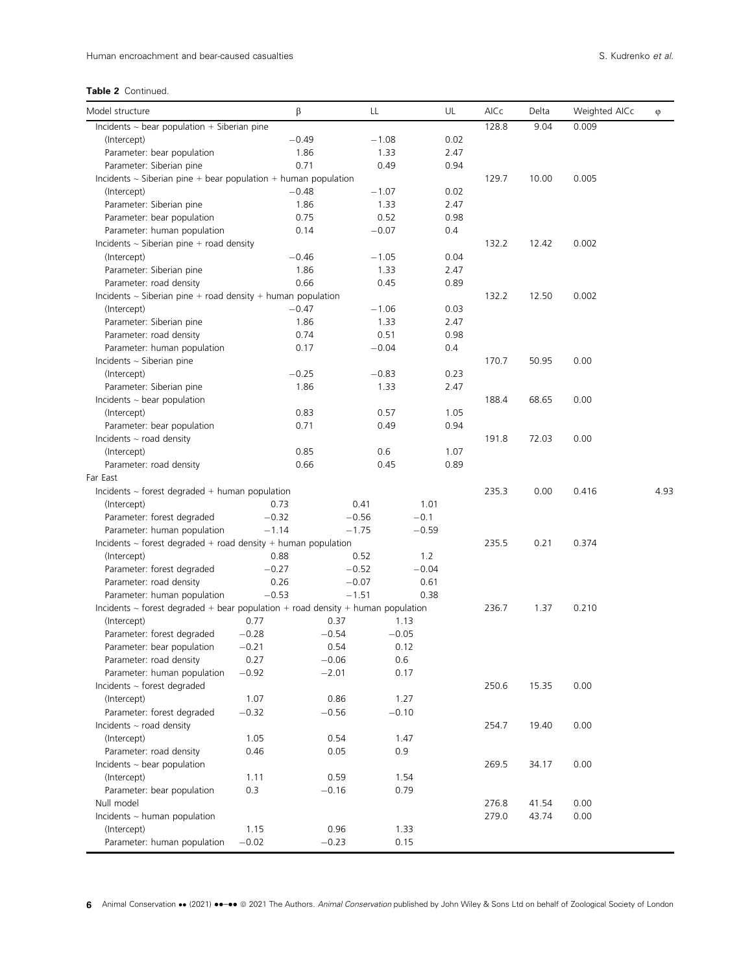| Model structure                                                                      | β       |         | LL      |         | UL   | AICc  | Delta | Weighted AICc | φ    |
|--------------------------------------------------------------------------------------|---------|---------|---------|---------|------|-------|-------|---------------|------|
| Incidents $\sim$ bear population + Siberian pine                                     |         |         |         |         |      | 128.8 | 9.04  | 0.009         |      |
| (Intercept)                                                                          | $-0.49$ |         | $-1.08$ |         | 0.02 |       |       |               |      |
| Parameter: bear population                                                           | 1.86    |         | 1.33    |         | 2.47 |       |       |               |      |
| Parameter: Siberian pine                                                             | 0.71    |         | 0.49    |         | 0.94 |       |       |               |      |
| Incidents $\sim$ Siberian pine + bear population + human population                  |         |         |         |         |      | 129.7 | 10.00 | 0.005         |      |
| (Intercept)                                                                          | $-0.48$ |         | $-1.07$ |         | 0.02 |       |       |               |      |
| Parameter: Siberian pine                                                             | 1.86    |         | 1.33    |         | 2.47 |       |       |               |      |
| Parameter: bear population                                                           | 0.75    |         | 0.52    |         | 0.98 |       |       |               |      |
| Parameter: human population                                                          | 0.14    |         | $-0.07$ |         | 0.4  |       |       |               |      |
| Incidents $\sim$ Siberian pine + road density                                        |         |         |         |         |      | 132.2 | 12.42 | 0.002         |      |
| (Intercept)                                                                          | $-0.46$ |         | $-1.05$ |         | 0.04 |       |       |               |      |
| Parameter: Siberian pine                                                             | 1.86    |         | 1.33    |         | 2.47 |       |       |               |      |
| Parameter: road density                                                              | 0.66    |         | 0.45    |         | 0.89 |       |       |               |      |
| Incidents $\sim$ Siberian pine + road density + human population                     |         |         |         |         |      | 132.2 | 12.50 | 0.002         |      |
| (Intercept)                                                                          | $-0.47$ |         | $-1.06$ |         | 0.03 |       |       |               |      |
| Parameter: Siberian pine                                                             | 1.86    |         | 1.33    |         | 2.47 |       |       |               |      |
| Parameter: road density                                                              | 0.74    |         | 0.51    |         | 0.98 |       |       |               |      |
| Parameter: human population                                                          | 0.17    |         | $-0.04$ |         | 0.4  |       |       |               |      |
| Incidents $\sim$ Siberian pine                                                       |         |         |         |         |      | 170.7 | 50.95 | 0.00          |      |
| (Intercept)                                                                          | $-0.25$ |         | $-0.83$ |         | 0.23 |       |       |               |      |
| Parameter: Siberian pine                                                             | 1.86    |         | 1.33    |         | 2.47 |       |       |               |      |
| Incidents $\sim$ bear population                                                     |         |         |         |         |      | 188.4 | 68.65 | 0.00          |      |
| (Intercept)                                                                          | 0.83    |         | 0.57    |         | 1.05 |       |       |               |      |
| Parameter: bear population                                                           | 0.71    |         | 0.49    |         | 0.94 |       |       |               |      |
| Incidents $\sim$ road density                                                        |         |         |         |         |      | 191.8 | 72.03 | 0.00          |      |
| (Intercept)                                                                          | 0.85    |         | 0.6     |         | 1.07 |       |       |               |      |
| Parameter: road density                                                              | 0.66    |         | 0.45    |         | 0.89 |       |       |               |      |
| Far East                                                                             |         |         |         |         |      |       |       |               |      |
| Incidents $\sim$ forest degraded + human population                                  |         |         |         |         |      | 235.3 | 0.00  | 0.416         | 4.93 |
| (Intercept)                                                                          | 0.73    | 0.41    |         | 1.01    |      |       |       |               |      |
| Parameter: forest degraded                                                           | $-0.32$ | $-0.56$ |         | $-0.1$  |      |       |       |               |      |
| Parameter: human population                                                          | $-1.14$ | $-1.75$ |         | $-0.59$ |      |       |       |               |      |
| Incidents $\sim$ forest degraded + road density + human population                   |         |         |         |         |      | 235.5 | 0.21  | 0.374         |      |
| (Intercept)                                                                          | 0.88    | 0.52    |         | 1.2     |      |       |       |               |      |
| Parameter: forest degraded                                                           | $-0.27$ | $-0.52$ |         | $-0.04$ |      |       |       |               |      |
| Parameter: road density                                                              | 0.26    | $-0.07$ |         | 0.61    |      |       |       |               |      |
| Parameter: human population                                                          | $-0.53$ | $-1.51$ |         | 0.38    |      |       |       |               |      |
| Incidents $\sim$ forest degraded + bear population + road density + human population |         |         |         |         |      | 236.7 | 1.37  | 0.210         |      |
| (Intercept)                                                                          | 0.77    | 0.37    | 1.13    |         |      |       |       |               |      |
| Parameter: forest degraded                                                           | $-0.28$ | $-0.54$ | $-0.05$ |         |      |       |       |               |      |
| Parameter: bear population                                                           | $-0.21$ | 0.54    | 0.12    |         |      |       |       |               |      |
| Parameter: road density                                                              | 0.27    | $-0.06$ | 0.6     |         |      |       |       |               |      |
| Parameter: human population                                                          | $-0.92$ | $-2.01$ | 0.17    |         |      |       |       |               |      |
| Incidents $\sim$ forest degraded                                                     |         |         |         |         |      | 250.6 | 15.35 | 0.00          |      |
| (Intercept)                                                                          | 1.07    | 0.86    | 1.27    |         |      |       |       |               |      |
| Parameter: forest degraded                                                           | $-0.32$ | $-0.56$ | $-0.10$ |         |      |       |       |               |      |
| Incidents $\sim$ road density                                                        |         |         |         |         |      | 254.7 | 19.40 | 0.00          |      |
| (Intercept)                                                                          | 1.05    | 0.54    | 1.47    |         |      |       |       |               |      |
| Parameter: road density                                                              | 0.46    | 0.05    | 0.9     |         |      |       |       |               |      |
| Incidents $\sim$ bear population                                                     |         |         |         |         |      | 269.5 | 34.17 | 0.00          |      |
| (Intercept)                                                                          | 1.11    | 0.59    | 1.54    |         |      |       |       |               |      |
| Parameter: bear population                                                           | 0.3     | $-0.16$ | 0.79    |         |      |       |       |               |      |
| Null model                                                                           |         |         |         |         |      | 276.8 | 41.54 | 0.00          |      |
| Incidents $\sim$ human population                                                    |         |         |         |         |      | 279.0 | 43.74 | 0.00          |      |
| (Intercept)                                                                          | 1.15    | 0.96    | 1.33    |         |      |       |       |               |      |
| Parameter: human population                                                          | $-0.02$ | $-0.23$ | 0.15    |         |      |       |       |               |      |

6 Animal Conservation •• (2021) ••-•• © 2021 The Authors. Animal Conservation published by John Wiley & Sons Ltd on behalf of Zoological Society of London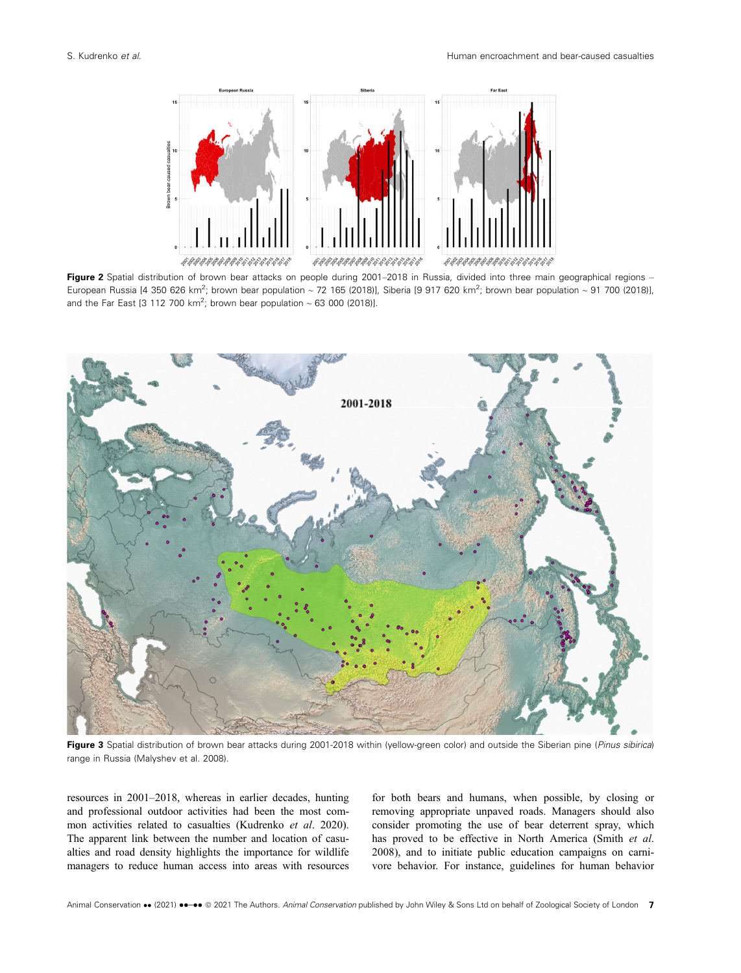

Figure 2 Spatial distribution of brown bear attacks on people during 2001–2018 in Russia, divided into three main geographical regions -European Russia [4 350 626 km<sup>2</sup>; brown bear population ~ 72 165 (2018)], Siberia [9 917 620 km<sup>2</sup>; brown bear population ~ 91 700 (2018)], and the Far East [3 112 700 km<sup>2</sup>; brown bear population  $\sim 63$  000 (2018)].



Figure 3 Spatial distribution of brown bear attacks during 2001-2018 within (yellow-green color) and outside the Siberian pine (Pinus sibirica) range in Russia (Malyshev et al. 2008).

resources in 2001–2018, whereas in earlier decades, hunting and professional outdoor activities had been the most common activities related to casualties (Kudrenko et al. 2020). The apparent link between the number and location of casualties and road density highlights the importance for wildlife managers to reduce human access into areas with resources

for both bears and humans, when possible, by closing or removing appropriate unpaved roads. Managers should also consider promoting the use of bear deterrent spray, which has proved to be effective in North America (Smith et al. 2008), and to initiate public education campaigns on carnivore behavior. For instance, guidelines for human behavior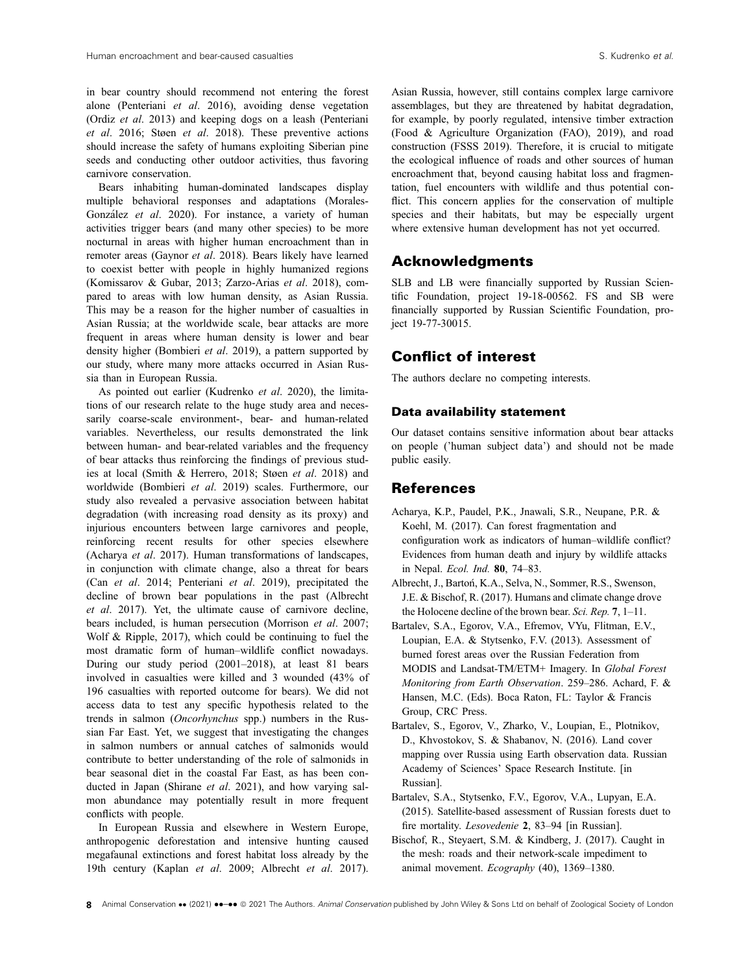in bear country should recommend not entering the forest alone (Penteriani et al. 2016), avoiding dense vegetation (Ordiz et al. 2013) and keeping dogs on a leash (Penteriani et al. 2016; Støen et al. 2018). These preventive actions should increase the safety of humans exploiting Siberian pine seeds and conducting other outdoor activities, thus favoring carnivore conservation.

Bears inhabiting human-dominated landscapes display multiple behavioral responses and adaptations (Morales-González et al. 2020). For instance, a variety of human activities trigger bears (and many other species) to be more nocturnal in areas with higher human encroachment than in remoter areas (Gaynor et al. 2018). Bears likely have learned to coexist better with people in highly humanized regions (Komissarov & Gubar, 2013; Zarzo-Arias et al. 2018), compared to areas with low human density, as Asian Russia. This may be a reason for the higher number of casualties in Asian Russia; at the worldwide scale, bear attacks are more frequent in areas where human density is lower and bear density higher (Bombieri et al. 2019), a pattern supported by our study, where many more attacks occurred in Asian Russia than in European Russia.

As pointed out earlier (Kudrenko et al. 2020), the limitations of our research relate to the huge study area and necessarily coarse-scale environment-, bear- and human-related variables. Nevertheless, our results demonstrated the link between human- and bear-related variables and the frequency of bear attacks thus reinforcing the findings of previous studies at local (Smith & Herrero, 2018; Støen et al. 2018) and worldwide (Bombieri et al. 2019) scales. Furthermore, our study also revealed a pervasive association between habitat degradation (with increasing road density as its proxy) and injurious encounters between large carnivores and people, reinforcing recent results for other species elsewhere (Acharya et al. 2017). Human transformations of landscapes, in conjunction with climate change, also a threat for bears (Can et al. 2014; Penteriani et al. 2019), precipitated the decline of brown bear populations in the past (Albrecht et al. 2017). Yet, the ultimate cause of carnivore decline, bears included, is human persecution (Morrison et al. 2007; Wolf & Ripple, 2017), which could be continuing to fuel the most dramatic form of human–wildlife conflict nowadays. During our study period (2001–2018), at least 81 bears involved in casualties were killed and 3 wounded (43% of 196 casualties with reported outcome for bears). We did not access data to test any specific hypothesis related to the trends in salmon (Oncorhynchus spp.) numbers in the Russian Far East. Yet, we suggest that investigating the changes in salmon numbers or annual catches of salmonids would contribute to better understanding of the role of salmonids in bear seasonal diet in the coastal Far East, as has been conducted in Japan (Shirane *et al.* 2021), and how varying salmon abundance may potentially result in more frequent conflicts with people.

In European Russia and elsewhere in Western Europe, anthropogenic deforestation and intensive hunting caused megafaunal extinctions and forest habitat loss already by the 19th century (Kaplan et al. 2009; Albrecht et al. 2017).

Asian Russia, however, still contains complex large carnivore assemblages, but they are threatened by habitat degradation, for example, by poorly regulated, intensive timber extraction (Food & Agriculture Organization (FAO), 2019), and road construction (FSSS 2019). Therefore, it is crucial to mitigate the ecological influence of roads and other sources of human encroachment that, beyond causing habitat loss and fragmentation, fuel encounters with wildlife and thus potential conflict. This concern applies for the conservation of multiple species and their habitats, but may be especially urgent where extensive human development has not yet occurred.

#### Acknowledgments

SLB and LB were financially supported by Russian Scientific Foundation, project 19-18-00562. FS and SB were financially supported by Russian Scientific Foundation, project 19-77-30015.

#### Conflict of interest

The authors declare no competing interests.

#### Data availability statement

Our dataset contains sensitive information about bear attacks on people ('human subject data') and should not be made public easily.

#### References

- Acharya, K.P., Paudel, P.K., Jnawali, S.R., Neupane, P.R. & Koehl, M. (2017). Can forest fragmentation and configuration work as indicators of human–wildlife conflict? Evidences from human death and injury by wildlife attacks in Nepal. Ecol. Ind. 80, 74–83.
- Albrecht, J., Bartoń, K.A., Selva, N., Sommer, R.S., Swenson, J.E. & Bischof, R. (2017). Humans and climate change drove the Holocene decline of the brown bear. Sci. Rep. 7, 1–11.
- Bartalev, S.A., Egorov, V.A., Efremov, VYu, Flitman, E.V., Loupian, E.A. & Stytsenko, F.V. (2013). Assessment of burned forest areas over the Russian Federation from MODIS and Landsat-TM/ETM+ Imagery. In Global Forest Monitoring from Earth Observation. 259–286. Achard, F. & Hansen, M.C. (Eds). Boca Raton, FL: Taylor & Francis Group, CRC Press.
- Bartalev, S., Egorov, V., Zharko, V., Loupian, E., Plotnikov, D., Khvostokov, S. & Shabanov, N. (2016). Land cover mapping over Russia using Earth observation data. Russian Academy of Sciences' Space Research Institute. [in Russian].
- Bartalev, S.A., Stytsenko, F.V., Egorov, V.A., Lupyan, E.A. (2015). Satellite-based assessment of Russian forests duet to fire mortality. Lesovedenie 2, 83–94 [in Russian].
- Bischof, R., Steyaert, S.M. & Kindberg, J. (2017). Caught in the mesh: roads and their network-scale impediment to animal movement. Ecography (40), 1369–1380.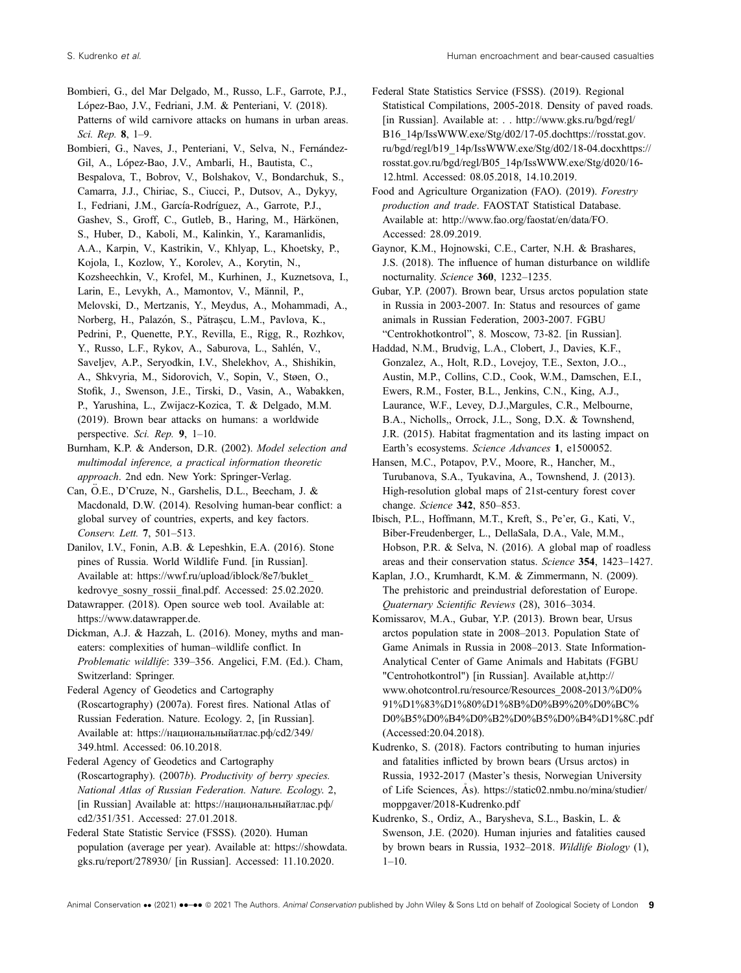- Bombieri, G., del Mar Delgado, M., Russo, L.F., Garrote, P.J., López-Bao, J.V., Fedriani, J.M. & Penteriani, V. (2018). Patterns of wild carnivore attacks on humans in urban areas. Sci. Rep. 8, 1–9.
- Bombieri, G., Naves, J., Penteriani, V., Selva, N., Fernández-Gil, A., Lopez-Bao, J.V., Ambarli, H., Bautista, C., Bespalova, T., Bobrov, V., Bolshakov, V., Bondarchuk, S., Camarra, J.J., Chiriac, S., Ciucci, P., Dutsov, A., Dykyy, I., Fedriani, J.M., García-Rodríguez, A., Garrote, P.J., Gashev, S., Groff, C., Gutleb, B., Haring, M., Härkönen, S., Huber, D., Kaboli, M., Kalinkin, Y., Karamanlidis, A.A., Karpin, V., Kastrikin, V., Khlyap, L., Khoetsky, P., Kojola, I., Kozlow, Y., Korolev, A., Korytin, N., Kozsheechkin, V., Krofel, M., Kurhinen, J., Kuznetsova, I., Larin, E., Levykh, A., Mamontov, V., Männil, P., Melovski, D., Mertzanis, Y., Meydus, A., Mohammadi, A., Norberg, H., Palazón, S., Pătrașcu, L.M., Pavlova, K., Pedrini, P., Quenette, P.Y., Revilla, E., Rigg, R., Rozhkov, Y., Russo, L.F., Rykov, A., Saburova, L., Sahlén, V., Saveljev, A.P., Seryodkin, I.V., Shelekhov, A., Shishikin, A., Shkvyria, M., Sidorovich, V., Sopin, V., Støen, O., Stofik, J., Swenson, J.E., Tirski, D., Vasin, A., Wabakken, P., Yarushina, L., Zwijacz-Kozica, T. & Delgado, M.M. (2019). Brown bear attacks on humans: a worldwide perspective. Sci. Rep. 9, 1–10.
- Burnham, K.P. & Anderson, D.R. (2002). Model selection and multimodal inference, a practical information theoretic approach. 2nd edn. New York: Springer-Verlag.
- Can, Ö.E., D'Cruze, N., Garshelis, D.L., Beecham, J. & Macdonald, D.W. (2014). Resolving human-bear conflict: a global survey of countries, experts, and key factors. Conserv. Lett. 7, 501–513.
- Danilov, I.V., Fonin, A.B. & Lepeshkin, E.A. (2016). Stone pines of Russia. World Wildlife Fund. [in Russian]. Available at: [https://wwf.ru/upload/iblock/8e7/buklet\\_](https://wwf.ru/upload/iblock/8e7/buklet_kedrovye_sosny_rossii_final.pdf.) kedrovye sosny rossii final.pdf. Accessed: 25.02.2020.
- Datawrapper. (2018). Open source web tool. Available at: <https://www.datawrapper.de>.
- Dickman, A.J. & Hazzah, L. (2016). Money, myths and maneaters: complexities of human–wildlife conflict. In Problematic wildlife: 339–356. Angelici, F.M. (Ed.). Cham, Switzerland: Springer.
- Federal Agency of Geodetics and Cartography (Roscartography) (2007a). Forest fires. National Atlas of Russian Federation. Nature. Ecology. 2, [in Russian]. Available at: https://нaциoнaльныйaтлac.pф/cd2/349/ 349.html. Accessed: 06.10.2018.
- Federal Agency of Geodetics and Cartography (Roscartography). (2007b). Productivity of berry species. National Atlas of Russian Federation. Nature. Ecology. 2, [in Russian] Available at: https://нaциoнaльныйaтлac.pф/ cd2/351/351. Accessed: 27.01.2018.
- Federal State Statistic Service (FSSS). (2020). Human population (average per year). Available at: [https://showdata.](https://showdata.gks.ru/report/278930/) [gks.ru/report/278930/](https://showdata.gks.ru/report/278930/) [in Russian]. Accessed: 11.10.2020.
- Federal State Statistics Service (FSSS). (2019). Regional Statistical Compilations, 2005-2018. Density of paved roads. [in Russian]. Available at: . . [http://www.gks.ru/bgd/regl/](http://www.gks.ru/bgd/regl/B16_14p/IssWWW.exe/Stg/d02/17-05.dochttps://rosstat.gov.ru/bgd/regl/b19_14p/IssWWW.exe/Stg/d02/18-04.docxhttps://rosstat.gov.ru/bgd/regl/B05_14p/IssWWW.exe/Stg/d020/16-12.html) [B16\\_14p/IssWWW.exe/Stg/d02/17-05.dochttps://rosstat.gov.](http://www.gks.ru/bgd/regl/B16_14p/IssWWW.exe/Stg/d02/17-05.dochttps://rosstat.gov.ru/bgd/regl/b19_14p/IssWWW.exe/Stg/d02/18-04.docxhttps://rosstat.gov.ru/bgd/regl/B05_14p/IssWWW.exe/Stg/d020/16-12.html) [ru/bgd/regl/b19\\_14p/IssWWW.exe/Stg/d02/18-04.docxhttps://](http://www.gks.ru/bgd/regl/B16_14p/IssWWW.exe/Stg/d02/17-05.dochttps://rosstat.gov.ru/bgd/regl/b19_14p/IssWWW.exe/Stg/d02/18-04.docxhttps://rosstat.gov.ru/bgd/regl/B05_14p/IssWWW.exe/Stg/d020/16-12.html) [rosstat.gov.ru/bgd/regl/B05\\_14p/IssWWW.exe/Stg/d020/16-](http://www.gks.ru/bgd/regl/B16_14p/IssWWW.exe/Stg/d02/17-05.dochttps://rosstat.gov.ru/bgd/regl/b19_14p/IssWWW.exe/Stg/d02/18-04.docxhttps://rosstat.gov.ru/bgd/regl/B05_14p/IssWWW.exe/Stg/d020/16-12.html) [12.html](http://www.gks.ru/bgd/regl/B16_14p/IssWWW.exe/Stg/d02/17-05.dochttps://rosstat.gov.ru/bgd/regl/b19_14p/IssWWW.exe/Stg/d02/18-04.docxhttps://rosstat.gov.ru/bgd/regl/B05_14p/IssWWW.exe/Stg/d020/16-12.html). Accessed: 08.05.2018, 14.10.2019.
- Food and Agriculture Organization (FAO). (2019). Forestry production and trade. FAOSTAT Statistical Database. Available at: [http://www.fao.org/faostat/en/data/FO.](http://www.fao.org/faostat/en/#data/FO) Accessed: 28.09.2019.
- Gaynor, K.M., Hojnowski, C.E., Carter, N.H. & Brashares, J.S. (2018). The influence of human disturbance on wildlife nocturnality. Science 360, 1232–1235.
- Gubar, Y.P. (2007). Brown bear, Ursus arctos population state in Russia in 2003-2007. In: Status and resources of game animals in Russian Federation, 2003-2007. FGBU "Centrokhotkontrol", 8. Moscow, 73-82. [in Russian].
- Haddad, N.M., Brudvig, L.A., Clobert, J., Davies, K.F., Gonzalez, A., Holt, R.D., Lovejoy, T.E., Sexton, J.O.., Austin, M.P., Collins, C.D., Cook, W.M., Damschen, E.I., Ewers, R.M., Foster, B.L., Jenkins, C.N., King, A.J., Laurance, W.F., Levey, D.J.,Margules, C.R., Melbourne, B.A., Nicholls,, Orrock, J.L., Song, D.X. & Townshend, J.R. (2015). Habitat fragmentation and its lasting impact on Earth's ecosystems. Science Advances 1, e1500052.
- Hansen, M.C., Potapov, P.V., Moore, R., Hancher, M., Turubanova, S.A., Tyukavina, A., Townshend, J. (2013). High-resolution global maps of 21st-century forest cover change. Science 342, 850–853.
- Ibisch, P.L., Hoffmann, M.T., Kreft, S., Pe'er, G., Kati, V., Biber-Freudenberger, L., DellaSala, D.A., Vale, M.M., Hobson, P.R. & Selva, N. (2016). A global map of roadless areas and their conservation status. Science 354, 1423–1427.
- Kaplan, J.O., Krumhardt, K.M. & Zimmermann, N. (2009). The prehistoric and preindustrial deforestation of Europe. Quaternary Scientific Reviews (28), 3016–3034.
- Komissarov, M.A., Gubar, Y.P. (2013). Brown bear, Ursus arctos population state in 2008–2013. Population State of Game Animals in Russia in 2008–2013. State Information-Analytical Center of Game Animals and Habitats (FGBU "Centrohotkontrol") [in Russian]. Available at,http:// www.ohotcontrol.ru/resource/Resources\_2008-2013/%D0% 91%D1%83%D1%80%D1%8B%D0%B9%20%D0%BC% D0%B5%D0%B4%D0%B2%D0%B5%D0%B4%D1%8C.pdf (Accessed:20.04.2018).
- Kudrenko, S. (2018). Factors contributing to human injuries and fatalities inflicted by brown bears (Ursus arctos) in Russia, 1932-2017 (Master's thesis, Norwegian University of Life Sciences, As). [https://static02.nmbu.no/mina/studier/](https://static02.nmbu.no/mina/studier/moppgaver/2018%2010Kudrenko.pdf) [moppgaver/2018-Kudrenko.pdf](https://static02.nmbu.no/mina/studier/moppgaver/2018%2010Kudrenko.pdf)
- Kudrenko, S., Ordiz, A., Barysheva, S.L., Baskin, L. & Swenson, J.E. (2020). Human injuries and fatalities caused by brown bears in Russia, 1932–2018. Wildlife Biology (1), 1–10.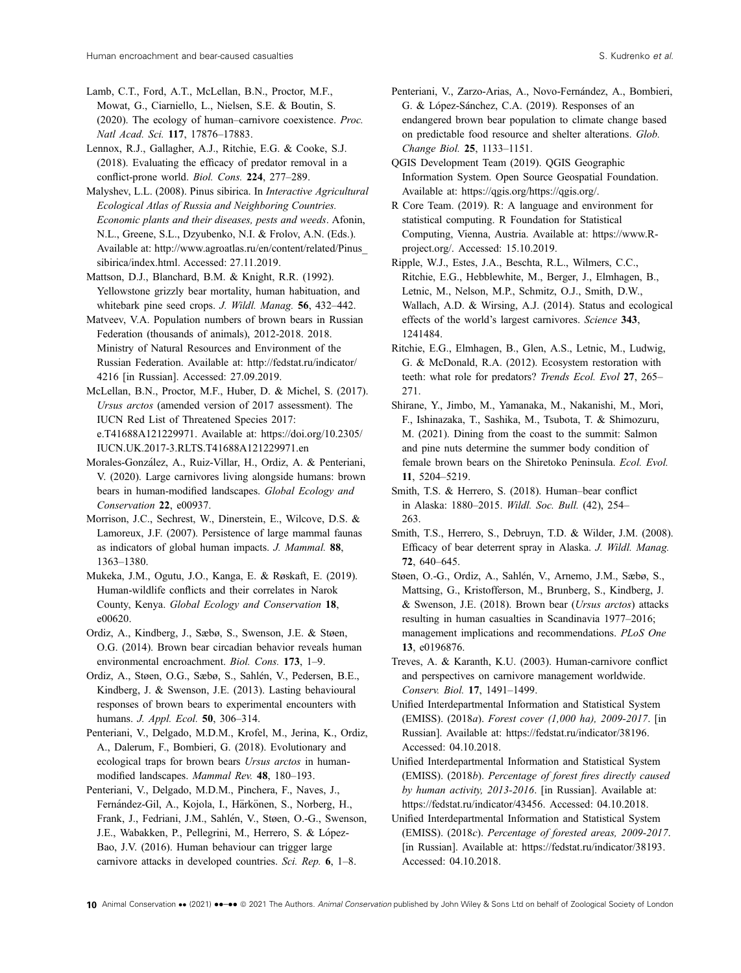Lamb, C.T., Ford, A.T., McLellan, B.N., Proctor, M.F., Mowat, G., Ciarniello, L., Nielsen, S.E. & Boutin, S. (2020). The ecology of human–carnivore coexistence. Proc. Natl Acad. Sci. 117, 17876–17883.

Lennox, R.J., Gallagher, A.J., Ritchie, E.G. & Cooke, S.J. (2018). Evaluating the efficacy of predator removal in a conflict-prone world. Biol. Cons. 224, 277–289.

Malyshev, L.L. (2008). Pinus sibirica. In Interactive Agricultural Ecological Atlas of Russia and Neighboring Countries. Economic plants and their diseases, pests and weeds. Afonin, N.L., Greene, S.L., Dzyubenko, N.I. & Frolov, A.N. (Eds.). Available at: [http://www.agroatlas.ru/en/content/related/Pinus\\_](http://www.agroatlas.ru/en/content/related/Pinus_sibirica/index.html) [sibirica/index.html.](http://www.agroatlas.ru/en/content/related/Pinus_sibirica/index.html) Accessed: 27.11.2019.

Mattson, D.J., Blanchard, B.M. & Knight, R.R. (1992). Yellowstone grizzly bear mortality, human habituation, and whitebark pine seed crops. J. Wildl. Manag. 56, 432–442.

Matveev, V.A. Population numbers of brown bears in Russian Federation (thousands of animals), 2012-2018. 2018. Ministry of Natural Resources and Environment of the Russian Federation. Available at: [http://fedstat.ru/indicator/](http://fedstat.ru/indicator/4216) [4216](http://fedstat.ru/indicator/4216) [in Russian]. Accessed: 27.09.2019.

McLellan, B.N., Proctor, M.F., Huber, D. & Michel, S. (2017). Ursus arctos (amended version of 2017 assessment). The IUCN Red List of Threatened Species 2017: e.T41688A121229971. Available at: [https://doi.org/10.2305/](https://doi.org/10.2305/IUCN.UK.2017-3.RLTS.T41688A121229971.en) [IUCN.UK.2017-3.RLTS.T41688A121229971.en](https://doi.org/10.2305/IUCN.UK.2017-3.RLTS.T41688A121229971.en)

Morales-Gonzalez, A., Ruiz-Villar, H., Ordiz, A. & Penteriani, V. (2020). Large carnivores living alongside humans: brown bears in human-modified landscapes. Global Ecology and Conservation 22, e00937.

Morrison, J.C., Sechrest, W., Dinerstein, E., Wilcove, D.S. & Lamoreux, J.F. (2007). Persistence of large mammal faunas as indicators of global human impacts. J. Mammal. 88, 1363–1380.

Mukeka, J.M., Ogutu, J.O., Kanga, E. & Røskaft, E. (2019). Human-wildlife conflicts and their correlates in Narok County, Kenya. Global Ecology and Conservation 18, e00620.

Ordiz, A., Kindberg, J., Sæbø, S., Swenson, J.E. & Støen, O.G. (2014). Brown bear circadian behavior reveals human environmental encroachment. Biol. Cons. 173, 1–9.

Ordiz, A., Støen, O.G., Sæbø, S., Sahlén, V., Pedersen, B.E., Kindberg, J. & Swenson, J.E. (2013). Lasting behavioural responses of brown bears to experimental encounters with humans. J. Appl. Ecol. 50, 306–314.

Penteriani, V., Delgado, M.D.M., Krofel, M., Jerina, K., Ordiz, A., Dalerum, F., Bombieri, G. (2018). Evolutionary and ecological traps for brown bears Ursus arctos in humanmodified landscapes. Mammal Rev. 48, 180–193.

Penteriani, V., Delgado, M.D.M., Pinchera, F., Naves, J., Fernández-Gil, A., Kojola, I., Härkönen, S., Norberg, H., Frank, J., Fedriani, J.M., Sahlen, V., Støen, O.-G., Swenson, J.E., Wabakken, P., Pellegrini, M., Herrero, S. & López-Bao, J.V. (2016). Human behaviour can trigger large carnivore attacks in developed countries. Sci. Rep. 6, 1–8.

Penteriani, V., Zarzo-Arias, A., Novo-Fernández, A., Bombieri, G. & López-Sánchez, C.A. (2019). Responses of an endangered brown bear population to climate change based on predictable food resource and shelter alterations. Glob. Change Biol. 25, 1133–1151.

QGIS Development Team (2019). QGIS Geographic Information System. Open Source Geospatial Foundation. Available at: [https://qgis.org/https://qgis.org/.](https://qgis.org/https://qgis.org/)

R Core Team. (2019). R: A language and environment for statistical computing. R Foundation for Statistical Computing, Vienna, Austria. Available at: [https://www.R](https://www.R-project.org/)[project.org/.](https://www.R-project.org/) Accessed: 15.10.2019.

Ripple, W.J., Estes, J.A., Beschta, R.L., Wilmers, C.C., Ritchie, E.G., Hebblewhite, M., Berger, J., Elmhagen, B., Letnic, M., Nelson, M.P., Schmitz, O.J., Smith, D.W., Wallach, A.D. & Wirsing, A.J. (2014). Status and ecological effects of the world's largest carnivores. Science 343, 1241484.

Ritchie, E.G., Elmhagen, B., Glen, A.S., Letnic, M., Ludwig, G. & McDonald, R.A. (2012). Ecosystem restoration with teeth: what role for predators? Trends Ecol. Evol 27, 265– 271.

Shirane, Y., Jimbo, M., Yamanaka, M., Nakanishi, M., Mori, F., Ishinazaka, T., Sashika, M., Tsubota, T. & Shimozuru, M. (2021). Dining from the coast to the summit: Salmon and pine nuts determine the summer body condition of female brown bears on the Shiretoko Peninsula. Ecol. Evol. 11, 5204–5219.

Smith, T.S. & Herrero, S. (2018). Human–bear conflict in Alaska: 1880–2015. Wildl. Soc. Bull. (42), 254– 263.

Smith, T.S., Herrero, S., Debruyn, T.D. & Wilder, J.M. (2008). Efficacy of bear deterrent spray in Alaska. J. Wildl. Manag. 72, 640–645.

Støen, O.-G., Ordiz, A., Sahlén, V., Arnemo, J.M., Sæbø, S., Mattsing, G., Kristofferson, M., Brunberg, S., Kindberg, J. & Swenson, J.E. (2018). Brown bear (Ursus arctos) attacks resulting in human casualties in Scandinavia 1977–2016; management implications and recommendations. PLoS One 13, e0196876.

Treves, A. & Karanth, K.U. (2003). Human-carnivore conflict and perspectives on carnivore management worldwide. Conserv. Biol. 17, 1491–1499.

Unified Interdepartmental Information and Statistical System (EMISS). (2018a). Forest cover (1,000 ha), 2009-2017. [in Russian]. Available at: [https://fedstat.ru/indicator/38196.](https://fedstat.ru/indicator/38196) Accessed: 04.10.2018.

Unified Interdepartmental Information and Statistical System (EMISS). (2018b). Percentage of forest fires directly caused by human activity, 2013-2016. [in Russian]. Available at: <https://fedstat.ru/indicator/43456>. Accessed: 04.10.2018.

Unified Interdepartmental Information and Statistical System (EMISS). (2018c). Percentage of forested areas, 2009-2017. [in Russian]. Available at: [https://fedstat.ru/indicator/38193.](https://fedstat.ru/indicator/38193) Accessed: 04.10.2018.

10 Animal Conservation •• (2021) ••-•• © 2021 The Authors. Animal Conservation published by John Wiley & Sons Ltd on behalf of Zoological Society of London